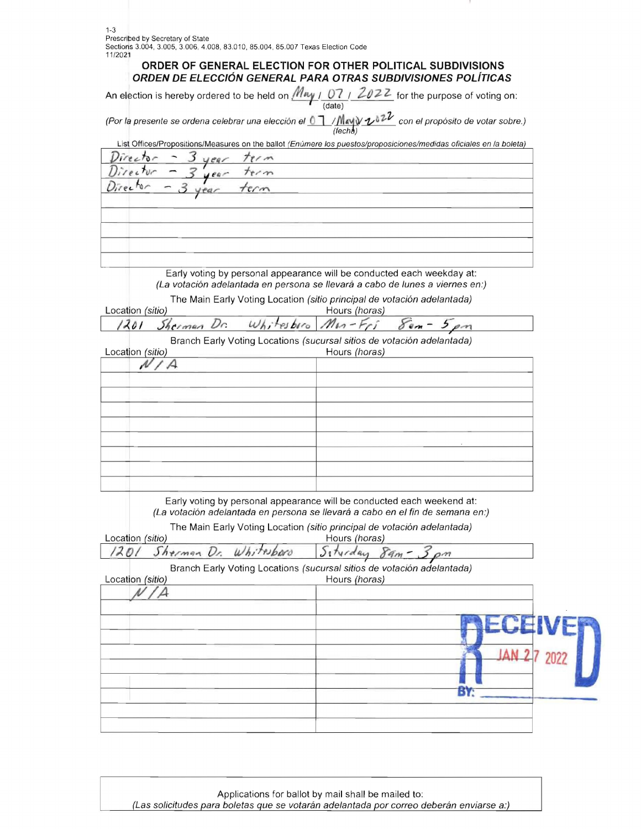## **ORDER OF GENERAL ELECTION FOR OTHER POLITICAL SUBDIVISIONS ORDEN DE ELECCION GENERAL PARA OTRAS SUBDIVISIONES POLiT/CAS**

| An election is hereby ordered to be held on $Muy + D7 + Z022$ for the purpose of voting on: |        |  |
|---------------------------------------------------------------------------------------------|--------|--|
|                                                                                             | (data) |  |

(Por la presente se ordena celebrar una elección el  $\frac{0.1}{(6chb)}$ / $\frac{M}{2}$ con el propósito de votar sobre.)

| List Offices/Propositions/Measures on the ballot (Enúmere los puestos/proposiciones/medidas oficiales en la boleta)                                     |                                     |  |
|---------------------------------------------------------------------------------------------------------------------------------------------------------|-------------------------------------|--|
| Director<br>$r \wedge m$                                                                                                                                |                                     |  |
| <i>Uirector</i>                                                                                                                                         |                                     |  |
| Director                                                                                                                                                |                                     |  |
|                                                                                                                                                         |                                     |  |
|                                                                                                                                                         |                                     |  |
|                                                                                                                                                         |                                     |  |
|                                                                                                                                                         |                                     |  |
|                                                                                                                                                         |                                     |  |
| Early voting by personal appearance will be conducted each weekday at:<br>(La votación adelantada en persona se llevará a cabo de lunes a viernes en:)  |                                     |  |
| The Main Early Voting Location (sitio principal de votación adelantada)                                                                                 |                                     |  |
| Location (sitio)                                                                                                                                        | Hours (horas)                       |  |
| Whitesboro<br>1201<br>Dr.<br>Sherman                                                                                                                    | $8. -$<br>$M_{12}$ -Fri<br>$5 \rho$ |  |
| Branch Early Voting Locations (sucursal sitios de votación adelantada)                                                                                  |                                     |  |
| Location (sitio)                                                                                                                                        | Hours (horas)                       |  |
| А<br>N                                                                                                                                                  |                                     |  |
|                                                                                                                                                         |                                     |  |
|                                                                                                                                                         |                                     |  |
|                                                                                                                                                         |                                     |  |
|                                                                                                                                                         |                                     |  |
|                                                                                                                                                         |                                     |  |
|                                                                                                                                                         |                                     |  |
|                                                                                                                                                         |                                     |  |
|                                                                                                                                                         |                                     |  |
|                                                                                                                                                         |                                     |  |
| Early voting by personal appearance will be conducted each weekend at:<br>(La votación adelantada en persona se llevará a cabo en el fin de semana en:) |                                     |  |
| The Main Early Voting Location (sitio principal de votación adelantada)                                                                                 |                                     |  |
| Location (sitio)                                                                                                                                        | Hours (horas)                       |  |
| Sherman Dr.<br>Whiteboro<br>201                                                                                                                         | Siturday<br>$\delta$ 9 $m$<br>om    |  |
| Branch Early Voting Locations (sucursal sitios de votación adelantada)<br>Location (sitio)                                                              | Hours (horas)                       |  |
|                                                                                                                                                         |                                     |  |
|                                                                                                                                                         |                                     |  |
|                                                                                                                                                         | ECEIVER                             |  |
|                                                                                                                                                         |                                     |  |
|                                                                                                                                                         | <b>JAN 27 2022</b>                  |  |
|                                                                                                                                                         |                                     |  |
|                                                                                                                                                         |                                     |  |
|                                                                                                                                                         | BY:                                 |  |
|                                                                                                                                                         |                                     |  |
|                                                                                                                                                         |                                     |  |

Applications for ballot by mail shall be mailed to: (Las solicitudes para boletas que se votarán adelantada por correo deberán enviarse a:)